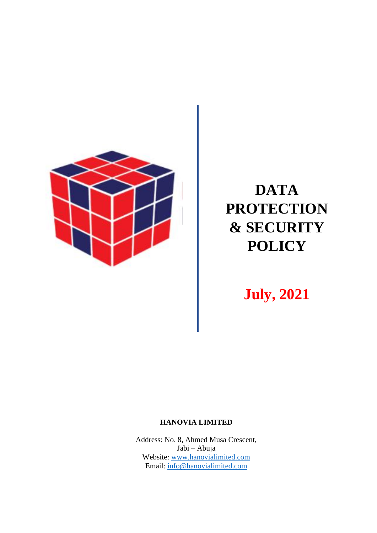

# **DATA PROTECTION & SECURITY POLICY**

**July, 2021**

#### **HANOVIA LIMITED**

Address: No. 8, Ahmed Musa Crescent, Jabi – Abuja Website: [www.hanovialimited.com](http://www.hanovialimited.com/)  Email: [info@hanovialimited.com](mailto:info@hanovialimited.com)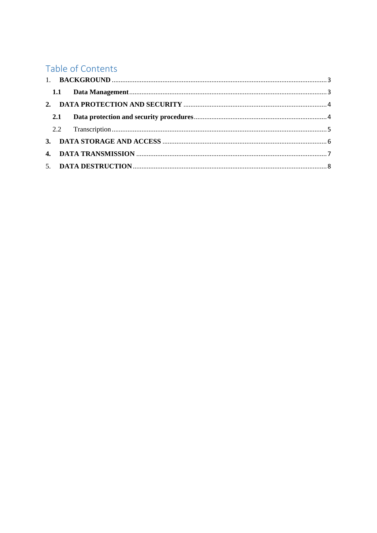## Table of Contents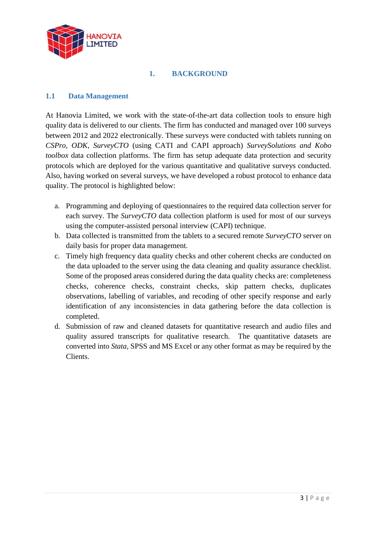

#### **1. BACKGROUND**

#### <span id="page-2-1"></span><span id="page-2-0"></span>**1.1 Data Management**

At Hanovia Limited, we work with the state-of-the-art data collection tools to ensure high quality data is delivered to our clients. The firm has conducted and managed over 100 surveys between 2012 and 2022 electronically. These surveys were conducted with tablets running on *CSPro*, *ODK*, *SurveyCTO* (using CATI and CAPI approach) *SurveySolutions and Kobo toolbox* data collection platforms. The firm has setup adequate data protection and security protocols which are deployed for the various quantitative and qualitative surveys conducted. Also, having worked on several surveys, we have developed a robust protocol to enhance data quality. The protocol is highlighted below:

- a. Programming and deploying of questionnaires to the required data collection server for each survey. The *SurveyCTO* data collection platform is used for most of our surveys using the computer-assisted personal interview (CAPI) technique.
- b. Data collected is transmitted from the tablets to a secured remote *SurveyCTO* server on daily basis for proper data management.
- c. Timely high frequency data quality checks and other coherent checks are conducted on the data uploaded to the server using the data cleaning and quality assurance checklist. Some of the proposed areas considered during the data quality checks are: completeness checks, coherence checks, constraint checks, skip pattern checks, duplicates observations, labelling of variables, and recoding of other specify response and early identification of any inconsistencies in data gathering before the data collection is completed.
- d. Submission of raw and cleaned datasets for quantitative research and audio files and quality assured transcripts for qualitative research. The quantitative datasets are converted into *Stata,* SPSS and MS Excel or any other format as may be required by the Clients.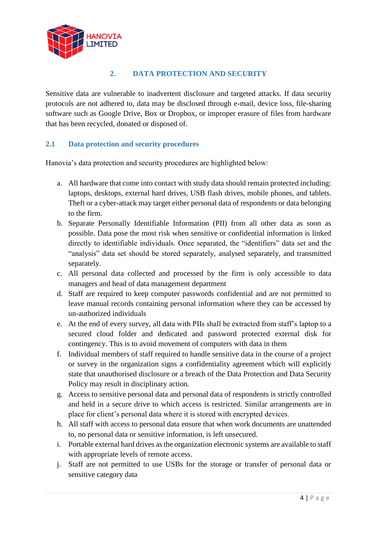

### **2. DATA PROTECTION AND SECURITY**

<span id="page-3-0"></span>Sensitive data are vulnerable to inadvertent disclosure and targeted attacks. If data security protocols are not adhered to, data may be disclosed through e-mail, device loss, file-sharing software such as Google Drive, Box or Dropbox, or improper erasure of files from hardware that has been recycled, donated or disposed of.

#### <span id="page-3-1"></span>**2.1 Data protection and security procedures**

Hanovia's data protection and security procedures are highlighted below:

- a. All hardware that come into contact with study data should remain protected including: laptops, desktops, external hard drives, USB flash drives, mobile phones, and tablets. Theft or a cyber-attack may target either personal data of respondents or data belonging to the firm.
- b. Separate Personally Identifiable Information (PII) from all other data as soon as possible. Data pose the most risk when sensitive or confidential information is linked directly to identifiable individuals. Once separated, the "identifiers" data set and the "analysis" data set should be stored separately, analysed separately, and transmitted separately.
- c. All personal data collected and processed by the firm is only accessible to data managers and head of data management department
- d. Staff are required to keep computer passwords confidential and are not permitted to leave manual records containing personal information where they can be accessed by un-authorized individuals
- e. At the end of every survey, all data with PIIs shall be extracted from staff's laptop to a secured cloud folder and dedicated and password protected external disk for contingency. This is to avoid movement of computers with data in them
- f. Individual members of staff required to handle sensitive data in the course of a project or survey in the organization signs a confidentiality agreement which will explicitly state that unauthorised disclosure or a breach of the Data Protection and Data Security Policy may result in disciplinary action.
- g. Access to sensitive personal data and personal data of respondents is strictly controlled and held in a secure drive to which access is restricted. Similar arrangements are in place for client's personal data where it is stored with encrypted devices.
- h. All staff with access to personal data ensure that when work documents are unattended to, no personal data or sensitive information, is left unsecured.
- i. Portable external hard drives as the organization electronic systems are available to staff with appropriate levels of remote access.
- j. Staff are not permitted to use USBs for the storage or transfer of personal data or sensitive category data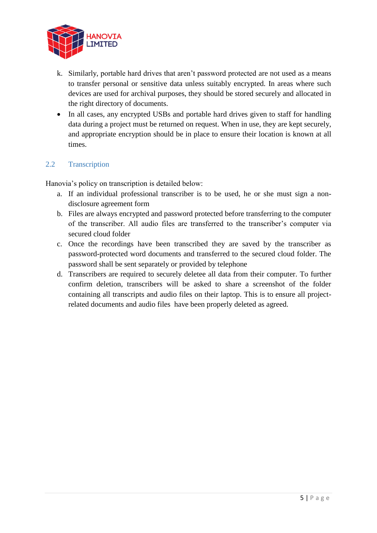

- k. Similarly, portable hard drives that aren't password protected are not used as a means to transfer personal or sensitive data unless suitably encrypted. In areas where such devices are used for archival purposes, they should be stored securely and allocated in the right directory of documents.
- In all cases, any encrypted USBs and portable hard drives given to staff for handling data during a project must be returned on request. When in use, they are kept securely, and appropriate encryption should be in place to ensure their location is known at all times.

#### <span id="page-4-0"></span>2.2 Transcription

Hanovia's policy on transcription is detailed below:

- a. If an individual professional transcriber is to be used, he or she must sign a nondisclosure agreement form
- b. Files are always encrypted and password protected before transferring to the computer of the transcriber. All audio files are transferred to the transcriber's computer via secured cloud folder
- c. Once the recordings have been transcribed they are saved by the transcriber as password-protected word documents and transferred to the secured cloud folder. The password shall be sent separately or provided by telephone
- d. Transcribers are required to securely deletee all data from their computer. To further confirm deletion, transcribers will be asked to share a screenshot of the folder containing all transcripts and audio files on their laptop. This is to ensure all projectrelated documents and audio files have been properly deleted as agreed.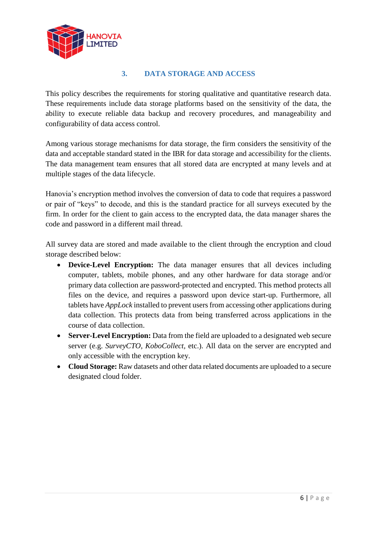

#### **3. DATA STORAGE AND ACCESS**

<span id="page-5-0"></span>This policy describes the requirements for storing qualitative and quantitative research data. These requirements include data storage platforms based on the sensitivity of the data, the ability to execute reliable data backup and recovery procedures, and manageability and configurability of data access control.

Among various storage mechanisms for data storage, the firm considers the sensitivity of the data and acceptable standard stated in the IBR for data storage and accessibility for the clients. The data management team ensures that all stored data are encrypted at many levels and at multiple stages of the data lifecycle.

Hanovia's encryption method involves the conversion of data to code that requires a password or pair of "keys" to decode, and this is the standard practice for all surveys executed by the firm. In order for the client to gain access to the encrypted data, the data manager shares the code and password in a different mail thread.

All survey data are stored and made available to the client through the encryption and cloud storage described below:

- **Device-Level Encryption:** The data manager ensures that all devices including computer, tablets, mobile phones, and any other hardware for data storage and/or primary data collection are password-protected and encrypted. This method protects all files on the device, and requires a password upon device start-up. Furthermore, all tablets have *AppLock* installed to prevent users from accessing other applications during data collection. This protects data from being transferred across applications in the course of data collection.
- **Server-Level Encryption:** Data from the field are uploaded to a designated web secure server (e.g. *SurveyCTO, KoboCollect,* etc.). All data on the server are encrypted and only accessible with the encryption key.
- **Cloud Storage:** Raw datasets and other data related documents are uploaded to a secure designated cloud folder.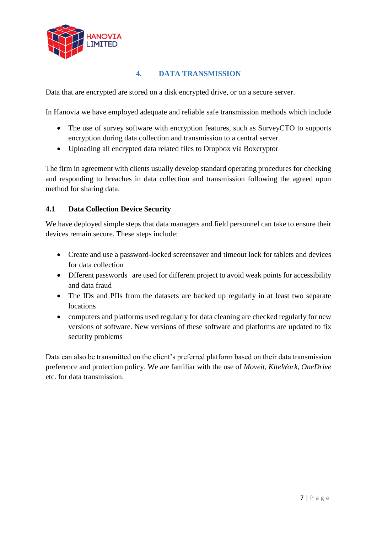

#### **4. DATA TRANSMISSION**

<span id="page-6-0"></span>Data that are encrypted are stored on a disk encrypted drive, or on a secure server.

In Hanovia we have employed adequate and reliable safe transmission methods which include

- The use of survey software with encryption features, such as SurveyCTO to supports encryption during data collection and transmission to a central server
- Uploading all encrypted data related files to Dropbox via Boxcryptor

The firm in agreement with clients usually develop standard operating procedures for checking and responding to breaches in data collection and transmission following the agreed upon method for sharing data.

### **4.1 Data Collection Device Security**

We have deployed simple steps that data managers and field personnel can take to ensure their devices remain secure. These steps include:

- Create and use a password-locked screensaver and timeout lock for tablets and devices for data collection
- Different passwords are used for different project to avoid weak points for accessibility and data fraud
- The IDs and PIIs from the datasets are backed up regularly in at least two separate locations
- computers and platforms used regularly for data cleaning are checked regularly for new versions of software. New versions of these software and platforms are updated to fix security problems

Data can also be transmitted on the client's preferred platform based on their data transmission preference and protection policy. We are familiar with the use of *Moveit*, *KiteWork*, *OneDrive* etc. for data transmission.